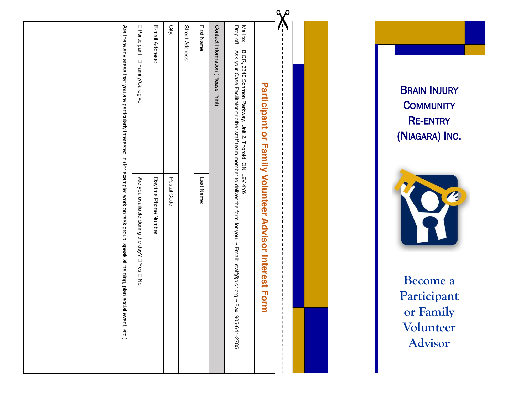|                                                                                                                                           | Street Address:<br>E-mail Address:<br>City:<br>□ Participant<br>$\Box$<br>Family/Caregive                  | First Name:<br>Contact Information (Please Print)<br>Mail to:<br>Drop off:<br>BICR, 3340 Schmon Parkway, Unit 2,<br>Ask your Case Facilitator or other staff team member to deliver the form for you. ~<br><b>Participant</b><br>$\overline{a}$<br>$\mathbf{T}$<br>Smily | $\alpha$<br><b>BRAIN INJURY</b><br><b>COMMUNITY</b><br><b>RE-ENTRY</b><br>(NIAGARA) INC. |                  |
|-------------------------------------------------------------------------------------------------------------------------------------------|------------------------------------------------------------------------------------------------------------|--------------------------------------------------------------------------------------------------------------------------------------------------------------------------------------------------------------------------------------------------------------------------|------------------------------------------------------------------------------------------|------------------|
| Are there any areas that you are particularly interested in (for example: work on task group, speak at training, plan social event, etc.) | Postal Code<br>Are you available during the<br>Daytime Phone Number:<br>day?<br>$\Box$ Yes<br>$\mathsf{S}$ | Thorold, ON, L2V 4Y6<br><b>Volunteer</b><br>Last Name<br>Advisor<br>Email: staff@bicr.org<br>Interest<br><b>Form</b><br>$\mathbf{z}$<br>Fax: 905-641-2785                                                                                                                | $\overline{\phantom{a}}$<br>Become a<br>Participant<br>or Family<br>Volunteer<br>Advisor | $\boldsymbol{c}$ |